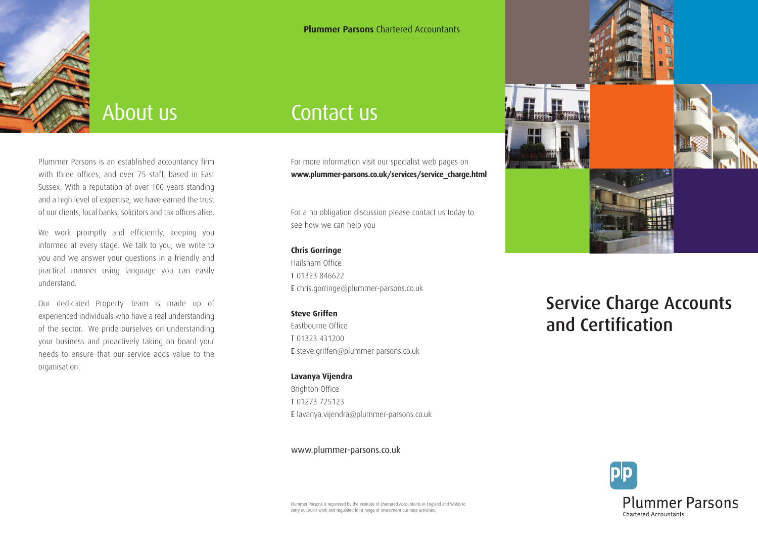

## About us

Plummer Parsons is an established accountancy firm with three offices, and over 75 staff, based in East Sussex. With a reputation of over 100 years standing and a high level of expertise, we have earned the trust of our clients, local banks, solicitors and tax offices alike.

We work promptly and efficiently, keeping you informed at every stage. We talk to you, we write to you and we answer your questions in a friendly and practical manner using language you can easily understand.

Our dedicated Property Team is made up of experienced individuals who have a real understanding of the sector. We pride ourselves on understanding your business and proactively taking on board your needs to ensure that our service adds value to the organisation.

## Contact us

For more information visit our specialist web pages on **www.plummer-parsons.co.uk/services/service\_charge.html**

**Plummer Parsons** Chartered Accountants

For a no obligation discussion please contact us today to see how we can help you

#### **Chris Gorringe**

Hailsham Office T 01323 846622 E chris.gorringe@plummer-parsons.co.uk

#### **Steve Griffen**

Eastbourne Office T 01323 431200 E steve.griffen@plummer-parsons.co.uk

#### **Lavanya Vijendra**

Brighton Office T 01273 725123 E lavanya.vijendra@plummer-parsons.co.uk

#### www.plummer-parsons.co.uk



## **Service Charge Accounts and Certification**